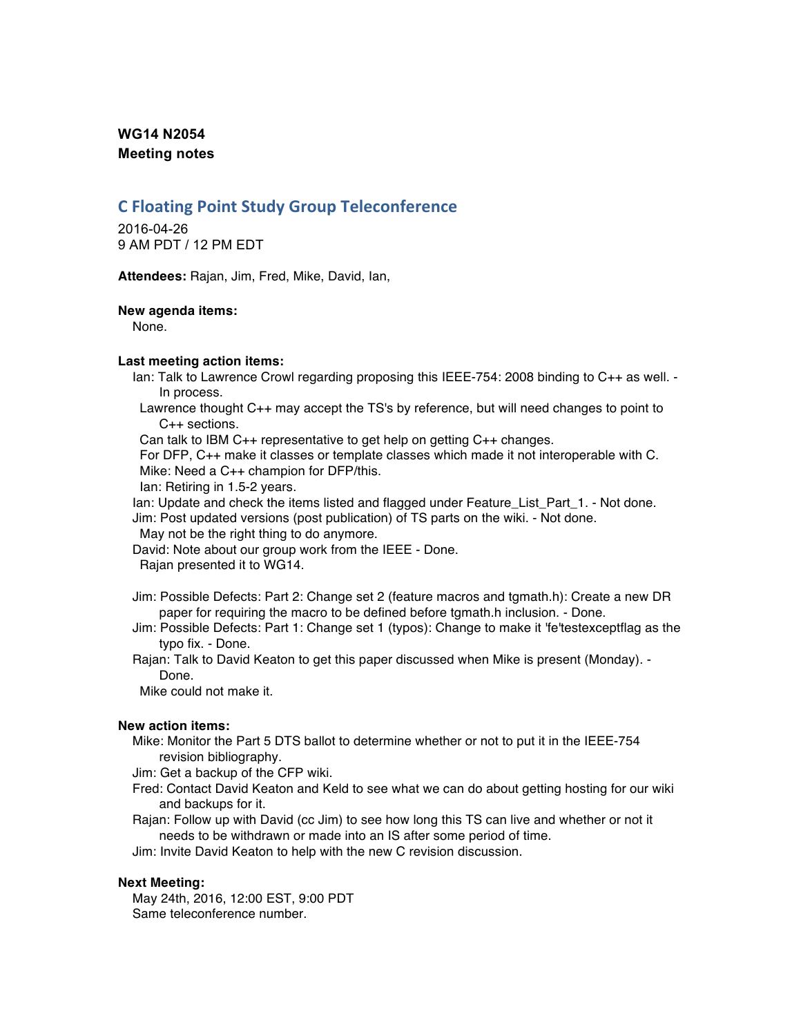## **WG14 N2054 Meeting notes**

# **C Floating Point Study Group Teleconference**

2016-04-26 9 AM PDT / 12 PM EDT

**Attendees:** Rajan, Jim, Fred, Mike, David, Ian,

#### **New agenda items:**

None.

### **Last meeting action items:**

- Ian: Talk to Lawrence Crowl regarding proposing this IEEE-754: 2008 binding to C++ as well. In process.
- Lawrence thought C++ may accept the TS's by reference, but will need changes to point to C++ sections.

Can talk to IBM C++ representative to get help on getting C++ changes.

For DFP, C++ make it classes or template classes which made it not interoperable with C. Mike: Need a C++ champion for DFP/this.

Ian: Retiring in 1.5-2 years.

Ian: Update and check the items listed and flagged under Feature\_List\_Part\_1. - Not done. Jim: Post updated versions (post publication) of TS parts on the wiki. - Not done.

May not be the right thing to do anymore.

David: Note about our group work from the IEEE - Done.

Rajan presented it to WG14.

- Jim: Possible Defects: Part 2: Change set 2 (feature macros and tgmath.h): Create a new DR paper for requiring the macro to be defined before tgmath.h inclusion. - Done.
- Jim: Possible Defects: Part 1: Change set 1 (typos): Change to make it 'fe'testexceptflag as the typo fix. - Done.
- Rajan: Talk to David Keaton to get this paper discussed when Mike is present (Monday). Done.

Mike could not make it.

### **New action items:**

Mike: Monitor the Part 5 DTS ballot to determine whether or not to put it in the IEEE-754 revision bibliography.

Jim: Get a backup of the CFP wiki.

- Fred: Contact David Keaton and Keld to see what we can do about getting hosting for our wiki and backups for it.
- Rajan: Follow up with David (cc Jim) to see how long this TS can live and whether or not it needs to be withdrawn or made into an IS after some period of time.

Jim: Invite David Keaton to help with the new C revision discussion.

### **Next Meeting:**

May 24th, 2016, 12:00 EST, 9:00 PDT Same teleconference number.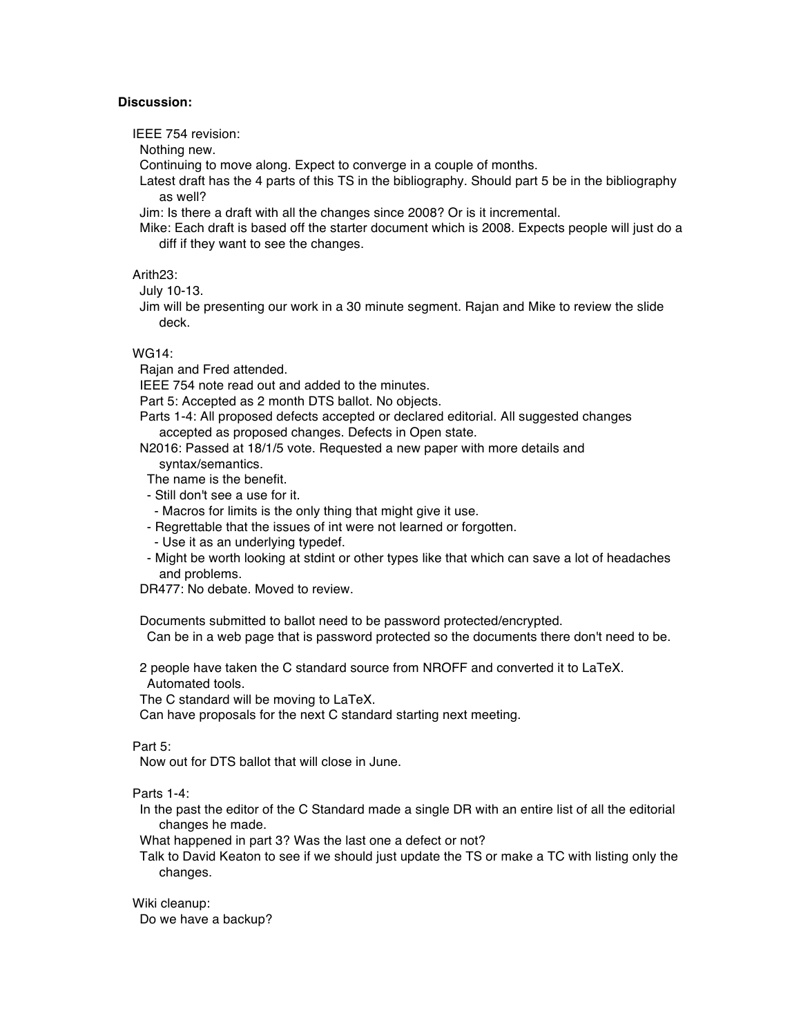## **Discussion:**

IEEE 754 revision:

Nothing new.

Continuing to move along. Expect to converge in a couple of months.

Latest draft has the 4 parts of this TS in the bibliography. Should part 5 be in the bibliography as well?

Jim: Is there a draft with all the changes since 2008? Or is it incremental.

Mike: Each draft is based off the starter document which is 2008. Expects people will just do a diff if they want to see the changes.

Arith23:

July 10-13.

Jim will be presenting our work in a 30 minute segment. Rajan and Mike to review the slide deck.

WG14:

Rajan and Fred attended.

IEEE 754 note read out and added to the minutes.

Part 5: Accepted as 2 month DTS ballot. No objects.

Parts 1-4: All proposed defects accepted or declared editorial. All suggested changes accepted as proposed changes. Defects in Open state.

N2016: Passed at 18/1/5 vote. Requested a new paper with more details and syntax/semantics.

The name is the benefit.

- Still don't see a use for it.
- Macros for limits is the only thing that might give it use.
- Regrettable that the issues of int were not learned or forgotten.
- Use it as an underlying typedef.
- Might be worth looking at stdint or other types like that which can save a lot of headaches and problems.

DR477: No debate. Moved to review.

Documents submitted to ballot need to be password protected/encrypted.

Can be in a web page that is password protected so the documents there don't need to be.

2 people have taken the C standard source from NROFF and converted it to LaTeX. Automated tools.

The C standard will be moving to LaTeX.

Can have proposals for the next C standard starting next meeting.

#### Part 5:

Now out for DTS ballot that will close in June.

Parts 1-4:

In the past the editor of the C Standard made a single DR with an entire list of all the editorial changes he made.

What happened in part 3? Was the last one a defect or not?

Talk to David Keaton to see if we should just update the TS or make a TC with listing only the changes.

Wiki cleanup: Do we have a backup?